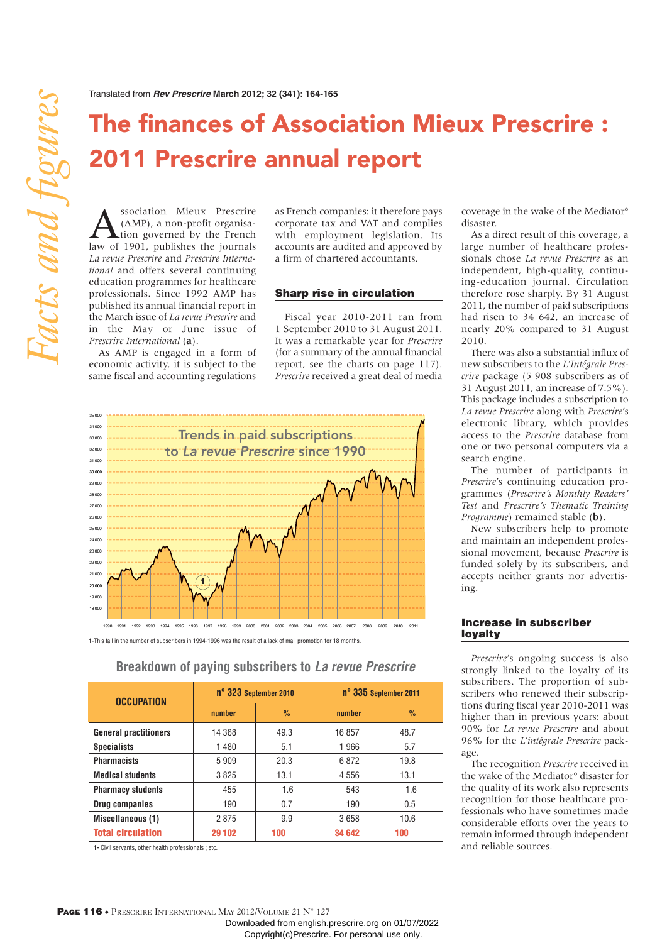# **The finances of Association Mieux Prescrire : 2011 Prescrire annual report**

**ASSOCIATE MIEUX PRESCRIPS**<br>(AMP), a non-profit organisa-<br>tion governed by the French<br>law of 1901 publishes the journals (AMP), a non-profit organisalaw of 1901, publishes the journals *La revue Prescrire* and *Prescrire International* and offers several continuing education programmes for healthcare professionals. Since 1992 AMP has published its annual financial report in the March issue of *La revue Prescrire* and in the May or June issue of *Prescrire International* (**a**).

As AMP is engaged in a form of economic activity, it is subject to the same fiscal and accounting regulations as French companies: it therefore pays corporate tax and VAT and complies with employment legislation. Its accounts are audited and approved by a firm of chartered accountants.

#### Sharp rise in circulation

Fiscal year 2010-2011 ran from 1 September 2010 to 31 August 2011. It was a remarkable year for *Prescrire* (for a summary of the annual financial report, see the charts on page 117). *Prescrire* received a great deal of media



**1-**This fall in the number of subscribers in 1994-1996 was the result of a lack of mail promotion for 18 months.

| <b>OCCUPATION</b>            | n° 323 September 2010 |               | n° 335 September 2011 |               |
|------------------------------|-----------------------|---------------|-----------------------|---------------|
|                              | number                | $\frac{9}{6}$ | number                | $\frac{0}{0}$ |
| <b>General practitioners</b> | 14 368                | 49.3          | 16857                 | 48.7          |
| <b>Specialists</b>           | 1480                  | 5.1           | 1966                  | 5.7           |
| <b>Pharmacists</b>           | 5909                  | 20.3          | 6872                  | 19.8          |
| <b>Medical students</b>      | 3825                  | 13.1          | 4 5 5 6               | 13.1          |
| <b>Pharmacy students</b>     | 455                   | 1.6           | 543                   | 1.6           |
| Drug companies               | 190                   | 0.7           | 190                   | 0.5           |
| Miscellaneous (1)            | 2875                  | 9.9           | 3658                  | 10.6          |
| <b>Total circulation</b>     | 29 102                | 100           | 34 642                | 100           |

**Breakdown of paying subscribers to La revue Prescrire**

**1-** Civil servants, other health professionals ; etc.

coverage in the wake of the Mediator° disaster.

As a direct result of this coverage, a large number of healthcare professionals chose *La revue Prescrire* as an independent, high-quality, continuing-education journal. Circulation therefore rose sharply. By 31 August 2011, the number of paid subscriptions had risen to 34 642, an increase of nearly 20% compared to 31 August 2010.

There was also a substantial influx of new subscribers to the *L'Intégrale Prescrire* package (5 908 subscribers as of 31 August 2011, an increase of 7.5%). This package includes a subscription to *La revue Prescrire* along with *Prescrire*'s electronic library, which provides access to the *Prescrire* database from one or two personal computers via a search engine.

The number of participants in *Prescrire*'s continuing education programmes (*Prescrire's Monthly Readers' Test* and *Prescrire's Thematic Training Programme*) remained stable (**b**).

New subscribers help to promote and maintain an independent professional movement, because *Prescrire* is funded solely by its subscribers, and accepts neither grants nor advertising.

### Increase in subscriber loyalty

*Prescrire*'s ongoing success is also strongly linked to the loyalty of its subscribers. The proportion of subscribers who renewed their subscriptions during fiscal year 2010-2011 was higher than in previous years: about 90% for *La revue Prescrire* and about 96% for the *L'intégrale Prescrire* package.

The recognition *Prescrire* received in the wake of the Mediator° disaster for the quality of its work also represents recognition for those healthcare professionals who have sometimes made considerable efforts over the years to remain informed through independent and reliable sources.